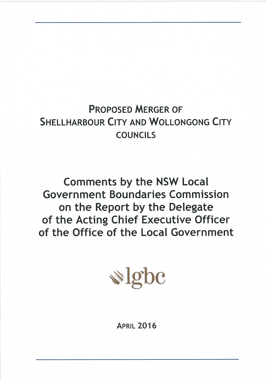# **PROPOSED MERGER OF SHELLHARBOUR CITY AND WOLLONGONG CITY COUNCILS**

**Comments by the NSW Local Government Boundaries Commission** on the Report by the Delegate of the Acting Chief Executive Officer of the Office of the Local Government



**APRIL 2016**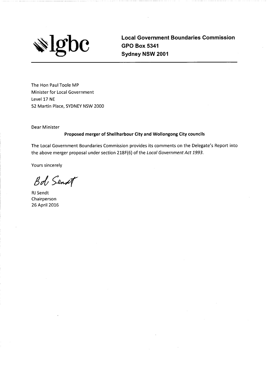

**Local Government Boundaries Commission GPO Box 5341** Sydney NSW 2001

The Hon Paul Toole MP Minister for Local Government Level 17 NE 52 Martin Place, SYDNEY NSW 2000

Dear Minister

#### Proposed merger of Shellharbour City and Wollongong City councils

The Local Government Boundaries Commission provides its comments on the Delegate's Report into the above merger proposal under section 218F(6) of the Local Government Act 1993.

Yours sincerely

Bob Senst

**RJ Sendt** Chairperson 26 April 2016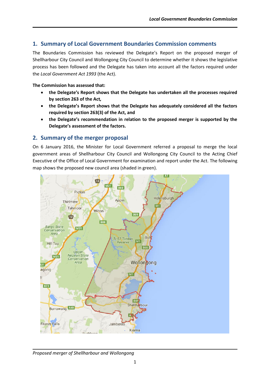# **1. Summary of Local Government Boundaries Commission comments**

The Boundaries Commission has reviewed the Delegate's Report on the proposed merger of Shellharbour City Council and Wollongong City Council to determine whether it shows the legislative process has been followed and the Delegate has taken into account all the factors required under the *Local Government Act 1993* (the Act).

#### **The Commission has assessed that:**

- **the Delegate's Report shows that the Delegate has undertaken all the processes required by section 263 of the Act***,*
- **the Delegate's Report shows that the Delegate has adequately considered all the factors required by section 263(3) of the Act, and**
- **the Delegate's recommendation in relation to the proposed merger is supported by the Delegate's assessment of the factors.**

# **2. Summary of the merger proposal**

On 6 January 2016, the Minister for Local Government referred a proposal to merge the local government areas of Shellharbour City Council and Wollongong City Council to the Acting Chief Executive of the Office of Local Government for examination and report under the Act. The following map shows the proposed new council area (shaded in green).



#### *Proposed merger of Shellharbour and Wollongong*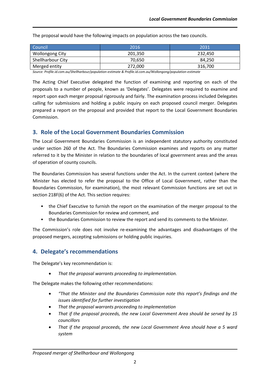Council 2016 2031 Wollongong City **201,350** 232,450 Shellharbour City **1988** 84,250 **84,250** Merged entity **272,000** 316,700

The proposal would have the following impacts on population across the two councils.

*Source: Profile.id.com.au/Shellharbour/population-estimate & Profile.id.com.au/Wollongong/population-estimate*

The Acting Chief Executive delegated the function of examining and reporting on each of the proposals to a number of people, known as 'Delegates'. Delegates were required to examine and report upon each merger proposal rigorously and fairly. The examination process included Delegates calling for submissions and holding a public inquiry on each proposed council merger. Delegates prepared a report on the proposal and provided that report to the Local Government Boundaries Commission.

# **3. Role of the Local Government Boundaries Commission**

The Local Government Boundaries Commission is an independent statutory authority constituted under section 260 of the Act. The Boundaries Commission examines and reports on any matter referred to it by the Minister in relation to the boundaries of local government areas and the areas of operation of county councils.

The Boundaries Commission has several functions under the Act. In the current context (where the Minister has elected to refer the proposal to the Office of Local Government, rather than the Boundaries Commission, for examination), the most relevant Commission functions are set out in section 218F(6) of the Act. This section requires:

- the Chief Executive to furnish the report on the examination of the merger proposal to the Boundaries Commission for review and comment, and
- the Boundaries Commission to review the report and send its comments to the Minister.

The Commission's role does not involve re-examining the advantages and disadvantages of the proposed mergers, accepting submissions or holding public inquiries.

# **4. Delegate's recommendations**

The Delegate's key recommendation is:

*That the proposal warrants proceeding to implementation.* 

The Delegate makes the following other recommendations:

- *"That the Minister and the Boundaries Commission note this report's findings and the issues identified for further investigation*
- *That the proposal warrants proceeding to implementation*
- *That if the proposal proceeds, the new Local Government Area should be served by 15 councillors*
- *That if the proposal proceeds, the new Local Government Area should have a 5 ward system*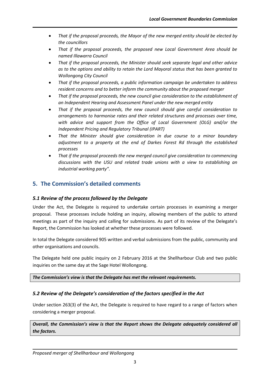- *That if the proposal proceeds, the Mayor of the new merged entity should be elected by the councillors*
- *That if the proposal proceeds, the proposed new Local Government Area should be named Illawarra Council*
- *That if the proposal proceeds, the Minister should seek separate legal and other advice as to the options and ability to retain the Lord Mayoral status that has been granted to Wollongong City Council*
- *That if the proposal proceeds, a public information campaign be undertaken to address resident concerns and to better inform the community about the proposed merger*
- *That if the proposal proceeds, the new council give consideration to the establishment of an Independent Hearing and Assessment Panel under the new merged entity*
- *That if the proposal proceeds, the new council should give careful consideration to arrangements to harmonise rates and their related structures and processes over time, with advice and support from the Office of Local Government (OLG) and/or the Independent Pricing and Regulatory Tribunal (IPART)*
- *That the Minister should give consideration in due course to a minor boundary adjustment to a property at the end of Darkes Forest Rd through the established processes*
- *That if the proposal proceeds the new merged council give consideration to commencing discussions with the USU and related trade unions with a view to establishing an industrial working party".*

# **5. The Commission's detailed comments**

## *5.1 Review of the process followed by the Delegate*

Under the Act, the Delegate is required to undertake certain processes in examining a merger proposal. These processes include holding an inquiry, allowing members of the public to attend meetings as part of the inquiry and calling for submissions. As part of its review of the Delegate's Report, the Commission has looked at whether these processes were followed.

In total the Delegate considered 905 written and verbal submissions from the public, community and other organisations and councils.

The Delegate held one public inquiry on 2 February 2016 at the Shellharbour Club and two public inquiries on the same day at the Sage Hotel Wollongong.

*The Commission's view is that the Delegate has met the relevant requirements.*

## *5.2 Review of the Delegate's consideration of the factors specified in the Act*

Under section 263(3) of the Act, the Delegate is required to have regard to a range of factors when considering a merger proposal.

*Overall, the Commission's view is that the Report shows the Delegate adequately considered all the factors.*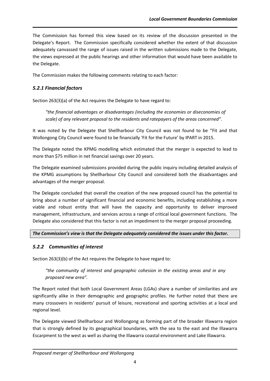The Commission has formed this view based on its review of the discussion presented in the Delegate's Report. The Commission specifically considered whether the extent of that discussion adequately canvassed the range of issues raised in the written submissions made to the Delegate, the views expressed at the public hearings and other information that would have been available to the Delegate.

The Commission makes the following comments relating to each factor:

# *5.2.1 Financial factors*

Section 263(3)(a) of the Act requires the Delegate to have regard to:

*"the financial advantages or disadvantages (including the economies or diseconomies of scale) of any relevant proposal to the residents and ratepayers of the areas concerned".*

It was noted by the Delegate that Shellharbour City Council was not found to be "Fit and that Wollongong City Council were found to be financially 'Fit for the Future' by IPART in 2015.

The Delegate noted the KPMG modelling which estimated that the merger is expected to lead to more than \$75 million in net financial savings over 20 years.

The Delegate examined submissions provided during the public inquiry including detailed analysis of the KPMG assumptions by Shellharbour City Council and considered both the disadvantages and advantages of the merger proposal.

The Delegate concluded that overall the creation of the new proposed council has the potential to bring about a number of significant financial and economic benefits, including establishing a more viable and robust entity that will have the capacity and opportunity to deliver improved management, infrastructure, and services across a range of critical local government functions. The Delegate also considered that this factor is not an impediment to the merger proposal proceeding.

## *The Commission's view is that the Delegate adequately considered the issues under this factor.*

# *5.2.2 Communities of interest*

Section 263(3)(b) of the Act requires the Delegate to have regard to:

*"the community of interest and geographic cohesion in the existing areas and in any proposed new area".*

The Report noted that both Local Government Areas (LGAs) share a number of similarities and are significantly alike in their demographic and geographic profiles. He further noted that there are many crossovers in residents' pursuit of leisure, recreational and sporting activities at a local and regional level.

The Delegate viewed Shellharbour and Wollongong as forming part of the broader Illawarra region that is strongly defined by its geographical boundaries, with the sea to the east and the Illawarra Escarpment to the west as well as sharing the Illawarra coastal environment and Lake Illawarra.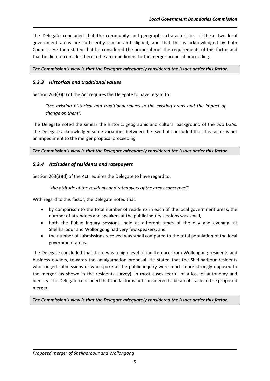The Delegate concluded that the community and geographic characteristics of these two local government areas are sufficiently similar and aligned, and that this is acknowledged by both Councils. He then stated that he considered the proposal met the requirements of this factor and that he did not consider there to be an impediment to the merger proposal proceeding.

#### *The Commission's view is that the Delegate adequately considered the issues under this factor.*

## *5.2.3 Historical and traditional values*

Section 263(3)(c) of the Act requires the Delegate to have regard to:

*"the existing historical and traditional values in the existing areas and the impact of change on them".*

The Delegate noted the similar the historic, geographic and cultural background of the two LGAs. The Delegate acknowledged some variations between the two but concluded that this factor is not an impediment to the merger proposal proceeding.

*The Commission's view is that the Delegate adequately considered the issues under this factor.* 

# *5.2.4 Attitudes of residents and ratepayers*

Section 263(3)(d) of the Act requires the Delegate to have regard to:

*"the attitude of the residents and ratepayers of the areas concerned".*

With regard to this factor, the Delegate noted that:

- by comparison to the total number of residents in each of the local government areas, the number of attendees and speakers at the public inquiry sessions was small,
- both the Public Inquiry sessions, held at different times of the day and evening, at Shellharbour and Wollongong had very few speakers, and
- the number of submissions received was small compared to the total population of the local government areas.

The Delegate concluded that there was a high level of indifference from Wollongong residents and business owners, towards the amalgamation proposal. He stated that the Shellharbour residents who lodged submissions or who spoke at the public inquiry were much more strongly opposed to the merger (as shown in the residents survey), in most cases fearful of a loss of autonomy and identity. The Delegate concluded that the factor is not considered to be an obstacle to the proposed merger.

*The Commission's view is that the Delegate adequately considered the issues under this factor.*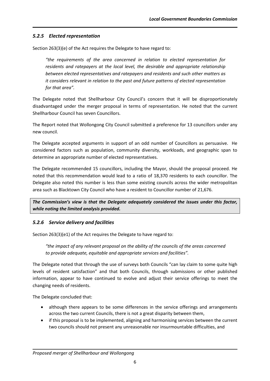## *5.2.5 Elected representation*

Section 263(3)(e) of the Act requires the Delegate to have regard to:

*"the requirements of the area concerned in relation to elected representation for residents and ratepayers at the local level, the desirable and appropriate relationship between elected representatives and ratepayers and residents and such other matters as it considers relevant in relation to the past and future patterns of elected representation for that area".*

The Delegate noted that Shellharbour City Council's concern that it will be disproportionately disadvantaged under the merger proposal in terms of representation. He noted that the current Shellharbour Council has seven Councillors.

The Report noted that Wollongong City Council submitted a preference for 13 councillors under any new council.

The Delegate accepted arguments in support of an odd number of Councillors as persuasive. He considered factors such as population, community diversity, workloads, and geographic span to determine an appropriate number of elected representatives.

The Delegate recommended 15 councillors, including the Mayor, should the proposal proceed. He noted that this recommendation would lead to a ratio of 18,370 residents to each councillor. The Delegate also noted this number is less than some existing councils across the wider metropolitan area such as Blacktown City Council who have a resident to Councillor number of 21,676.

*The Commission's view is that the Delegate adequately considered the issues under this factor, while noting the limited analysis provided.*

## *5.2.6 Service delivery and facilities*

Section 263(3)(e1) of the Act requires the Delegate to have regard to:

*"the impact of any relevant proposal on the ability of the councils of the areas concerned to provide adequate, equitable and appropriate services and facilities".*

The Delegate noted that through the use of surveys both Councils "can lay claim to some quite high levels of resident satisfaction" and that both Councils, through submissions or other published information, appear to have continued to evolve and adjust their service offerings to meet the changing needs of residents.

The Delegate concluded that:

- although there appears to be some differences in the service offerings and arrangements across the two current Councils, there is not a great disparity between them,
- if this proposal is to be implemented, aligning and harmonising services between the current two councils should not present any unreasonable nor insurmountable difficulties, and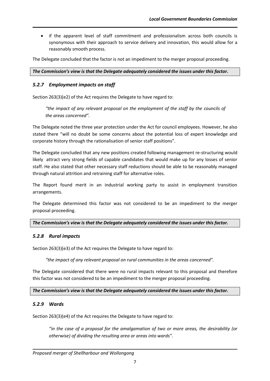• if the apparent level of staff commitment and professionalism across both councils is synonymous with their approach to service delivery and innovation, this would allow for a reasonably smooth process.

The Delegate concluded that the factor is not an impediment to the merger proposal proceeding.

*The Commission's view is that the Delegate adequately considered the issues under this factor.* 

#### *5.2.7 Employment impacts on staff*

Section 263(3)(e2) of the Act requires the Delegate to have regard to:

*"the impact of any relevant proposal on the employment of the staff by the councils of the areas concerned".*

The Delegate noted the three year protection under the Act for council employees. However, he also stated there "will no doubt be some concerns about the potential loss of expert knowledge and corporate history through the rationalisation of senior staff positions".

The Delegate concluded that any new positions created following management re-structuring would likely attract very strong fields of capable candidates that would make up for any losses of senior staff. He also stated that other necessary staff reductions should be able to be reasonably managed through natural attrition and retraining staff for alternative roles.

The Report found merit in an industrial working party to assist in employment transition arrangements.

The Delegate determined this factor was not considered to be an impediment to the merger proposal proceeding.

#### *The Commission's view is that the Delegate adequately considered the issues under this factor.*

#### *5.2.8 Rural impacts*

Section 263(3)(e3) of the Act requires the Delegate to have regard to:

*"the impact of any relevant proposal on rural communities in the areas concerned".*

The Delegate considered that there were no rural impacts relevant to this proposal and therefore this factor was not considered to be an impediment to the merger proposal proceeding.

*The Commission's view is that the Delegate adequately considered the issues under this factor.* 

#### *5.2.9 Wards*

Section 263(3)(e4) of the Act requires the Delegate to have regard to:

"in the case of a proposal for the amalgamation of two or more areas, the desirability (or *otherwise) of dividing the resulting area or areas into wards".*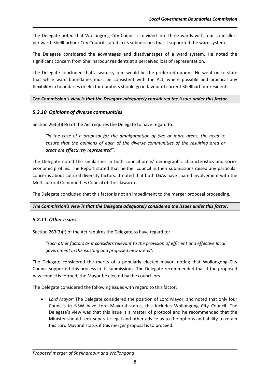The Delegate noted that Wollongong City Council is divided into three wards with four councillors per ward. Shellharbour City Council stated in its submissions that it supported the ward system.

The Delegate considered the advantages and disadvantages of a ward system. He noted the significant concern from Shellharbour residents at a perceived loss of representation.

The Delegate concluded that a ward system would be the preferred option. He went on to state that while ward boundaries must be consistent with the Act, where possible and practical any flexibility in boundaries or elector numbers should go in favour of current Shellharbour residents.

## *The Commission's view is that the Delegate adequately considered the issues under this factor.*

## *5.2.10 Opinions of diverse communities*

Section 263(3)(e5) of the Act requires the Delegate to have regard to:

*"in the case of a proposal for the amalgamation of two or more areas, the need to ensure that the opinions of each of the diverse communities of the resulting area or areas are effectively represented".*

The Delegate noted the similarities in both council areas' demographic characteristics and socioeconomic profiles. The Report stated that neither council in their submissions raised any particular concerns about cultural diversity factors. It noted that both LGAs have shared involvement with the Multicultural Communities Council of the Illawarra.

The Delegate concluded that this factor is not an impediment to the merger proposal proceeding.

#### *The Commission's view is that the Delegate adequately considered the issues under this factor.*

## *5.2.11 Other issues*

Section 263(3)(f) of the Act requires the Delegate to have regard to:

*"such other factors as it considers relevant to the provision of efficient and effective local government in the existing and proposed new areas".*

The Delegate considered the merits of a popularly elected mayor, noting that Wollongong City Council supported this process in its submissions. The Delegate recommended that if the proposed new council is formed, the Mayor be elected by the councillors.

The Delegate considered the following issues with regard to this factor:

 *Lord Mayor:* The Delegate considered the position of Lord Mayor, and noted that only four Councils in NSW have Lord Mayoral status, this includes Wollongong City Council. The Delegate's view was that this issue is a matter of protocol and he recommended that the Minister should seek separate legal and other advice as to the options and ability to retain this Lord Mayoral status if this merger proposal is to proceed.